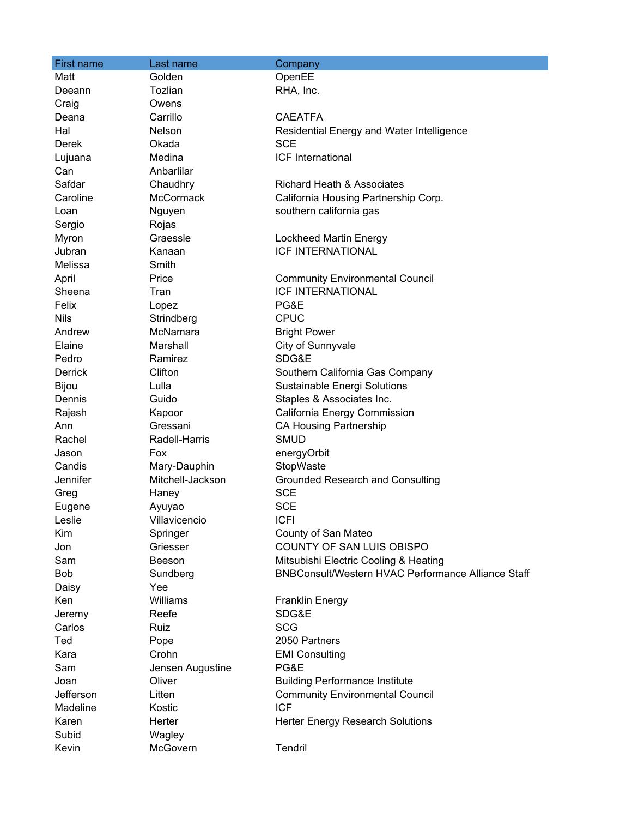| <b>First name</b> | Last name        | Company                                                   |
|-------------------|------------------|-----------------------------------------------------------|
| Matt              | Golden           | OpenEE                                                    |
| Deeann            | Tozlian          | RHA, Inc.                                                 |
| Craig             | Owens            |                                                           |
| Deana             | Carrillo         | <b>CAEATFA</b>                                            |
| Hal               | Nelson           | Residential Energy and Water Intelligence                 |
| Derek             | Okada            | <b>SCE</b>                                                |
| Lujuana           | Medina           | ICF International                                         |
| Can               | Anbarlilar       |                                                           |
| Safdar            | Chaudhry         | <b>Richard Heath &amp; Associates</b>                     |
| Caroline          | McCormack        | California Housing Partnership Corp.                      |
| Loan              | Nguyen           | southern california gas                                   |
| Sergio            | Rojas            |                                                           |
| Myron             | Graessle         | Lockheed Martin Energy                                    |
| Jubran            | Kanaan           | <b>ICF INTERNATIONAL</b>                                  |
| Melissa           | Smith            |                                                           |
| April             | Price            | <b>Community Environmental Council</b>                    |
| Sheena            | Tran             | <b>ICF INTERNATIONAL</b>                                  |
| Felix             | Lopez            | PG&E                                                      |
| <b>Nils</b>       | Strindberg       | <b>CPUC</b>                                               |
| Andrew            | McNamara         | <b>Bright Power</b>                                       |
| Elaine            | Marshall         | City of Sunnyvale                                         |
| Pedro             | Ramirez          | SDG&E                                                     |
| <b>Derrick</b>    | Clifton          | Southern California Gas Company                           |
| Bijou             | Lulla            | Sustainable Energi Solutions                              |
| Dennis            | Guido            | Staples & Associates Inc.                                 |
| Rajesh            | Kapoor           | California Energy Commission                              |
| Ann               | Gressani         | <b>CA Housing Partnership</b>                             |
| Rachel            | Radell-Harris    | <b>SMUD</b>                                               |
| Jason             | Fox              | energyOrbit                                               |
| Candis            | Mary-Dauphin     | StopWaste                                                 |
| Jennifer          | Mitchell-Jackson | <b>Grounded Research and Consulting</b>                   |
| Greg              | Haney            | <b>SCE</b>                                                |
| Eugene            | Ayuyao           | <b>SCE</b>                                                |
| Leslie            | Villavicencio    | <b>ICFI</b>                                               |
| Kim               | Springer         | County of San Mateo                                       |
| Jon               | Griesser         | COUNTY OF SAN LUIS OBISPO                                 |
| Sam               | Beeson           | Mitsubishi Electric Cooling & Heating                     |
| <b>Bob</b>        | Sundberg         | <b>BNBConsult/Western HVAC Performance Alliance Staff</b> |
| Daisy             | Yee              |                                                           |
| Ken               | Williams         | <b>Franklin Energy</b>                                    |
| Jeremy            | Reefe            | SDG&E                                                     |
| Carlos            | Ruiz             | <b>SCG</b>                                                |
| Ted               | Pope             | 2050 Partners                                             |
| Kara              | Crohn            | <b>EMI Consulting</b>                                     |
| Sam               | Jensen Augustine | PG&E                                                      |
| Joan              | Oliver           | <b>Building Performance Institute</b>                     |
| Jefferson         | Litten           | <b>Community Environmental Council</b>                    |
| Madeline          | Kostic           | <b>ICF</b>                                                |
| Karen             | Herter           | Herter Energy Research Solutions                          |
| Subid             | Wagley           |                                                           |
| Kevin             | McGovern         | Tendril                                                   |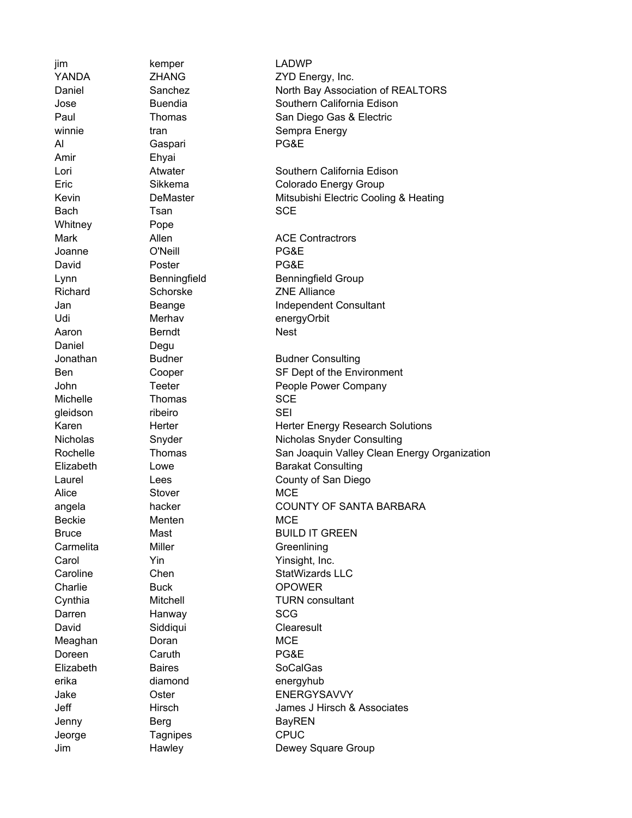Amir Ehyai Whitney **Pope** Daniel Degu

Al Gaspari PG&E Bach Tsan SCE Joanne O'Neill PG&E David Poster Poster PG&E Aaron **Berndt** Berndt Nest Michelle Thomas SCE gleidson ribeiro SEI Alice Stover Store MCE Beckie Menten MCE Carmelita Miller Miller Greenlining Charlie **Buck DROWER** Darren Hanway SCG David Siddiqui Clearesult Meaghan Doran Doran MCE Doreen Caruth **Caruth** PG&E Elizabeth Baires SoCalGas erika diamond energyhub Jenny Berg BayREN Jeorge Tagnipes CPUC

jim kemper LADWP YANDA ZHANG ZYD Energy, Inc. Daniel Sanchez North Bay Association of REALTORS Jose Buendia Southern California Edison Paul Thomas San Diego Gas & Electric winnie tran tran Sempra Energy Lori Atwater Southern California Edison Eric Sikkema Colorado Energy Group Kevin **DeMaster** Demaster Mitsubishi Electric Cooling & Heating Mark Allen Allen ACE Contractrors Lynn Benningfield Benningfield Benningfield Group Richard Schorske ZNE Alliance Jan Beange Independent Consultant Udi Merhav energyOrbit Jonathan Budner Budner Consulting Ben Cooper SF Dept of the Environment John Teeter **People Power Company** Karen **Herter** Herter Herter Energy Research Solutions Nicholas Snyder Snyder Nicholas Snyder Consulting Rochelle Thomas San Joaquin Valley Clean Energy Organization Elizabeth Lowe **Barakat Consulting** Laurel Lees Lees County of San Diego angela hacker hacker COUNTY OF SANTA BARBARA Bruce Mast Mast BUILD IT GREEN Carol **Yin** Yin Yinsight, Inc. Caroline Chen Chen StatWizards LLC Cynthia Mitchell TURN consultant Jake Oster ENERGYSAVVY Jeff Hirsch James J Hirsch & Associates Jim **Hawley Hawley** Dewey Square Group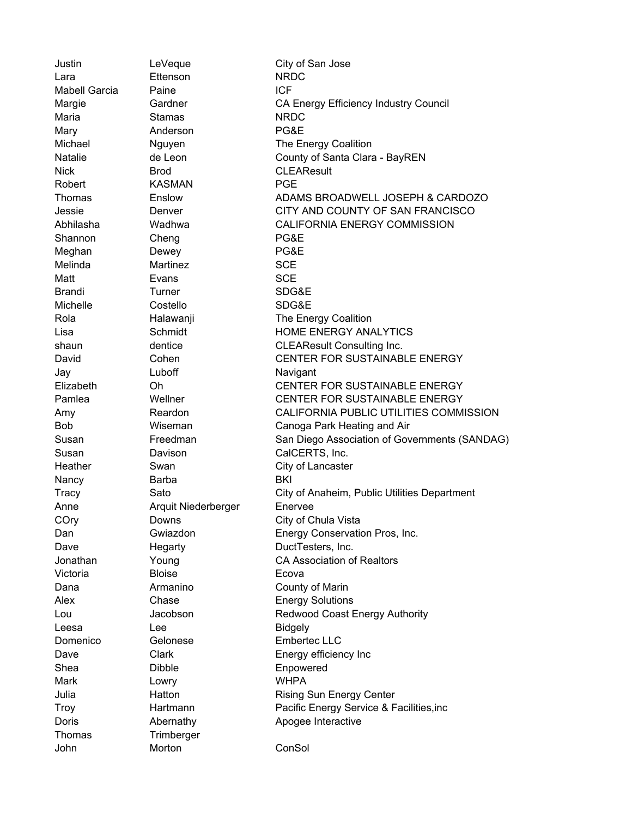Justin LeVeque City of San Jose Lara Ettenson NRDC Mabell Garcia Paine **ICF** Margie Gardner CA Energy Efficiency Industry Council Maria **Stamas** Stamas NRDC Mary **Anderson PG&E** Michael Michael Nguyen The Energy Coalition Natalie de Leon County of Santa Clara - BayREN Nick Brod CLEAResult Robert **KASMAN** PGE Thomas Enslow ADAMS BROADWELL JOSEPH & CARDOZO Jessie Denver CITY AND COUNTY OF SAN FRANCISCO Abhilasha Wadhwa CALIFORNIA ENERGY COMMISSION Shannon Cheng PG&E Meghan Dewey PG&E Melinda **Martinez** SCE Matt **Evans** Evans SCE Brandi Turner SDG&E Michelle Costello SDG&E Rola **Halawanji** The Energy Coalition Lisa Schmidt HOME ENERGY ANALYTICS shaun dentice CLEAResult Consulting Inc. David Cohen CENTER FOR SUSTAINABLE ENERGY Jay **Luboff Navigant** Elizabeth Oh CENTER FOR SUSTAINABLE ENERGY Pamlea CENTER FOR SUSTAINABLE ENERGY Amy Reardon CALIFORNIA PUBLIC UTILITIES COMMISSION Bob Wiseman Canoga Park Heating and Air Susan Freedman San Diego Association of Governments (SANDAG) Susan Davison Davison CalCERTS, Inc. Heather Swan Swan City of Lancaster Nancy Barba BAT BKI Tracy Sato City of Anaheim, Public Utilities Department Anne Arquit Niederberger Enervee COry Downs Downs City of Chula Vista Dan Gwiazdon Energy Conservation Pros, Inc. Dave **Hegarty DuctTesters**, Inc. Jonathan Young CA Association of Realtors Victoria Bloise Ecova Dana **Armanino** County of Marin Alex Chase Chase Energy Solutions Lou Jacobson Redwood Coast Energy Authority Leesa Lee **Lee** Bidgely Domenico Gelonese Embertec LLC Dave Clark Contract Energy efficiency Inc Shea Dibble Enpowered Mark Lowry **Lowry** WHPA Julia Hatton Rising Sun Energy Center Troy Hartmann Pacific Energy Service & Facilities,inc Doris **Abernathy Apogee Interactive** Thomas Trimberger John Morton ConSol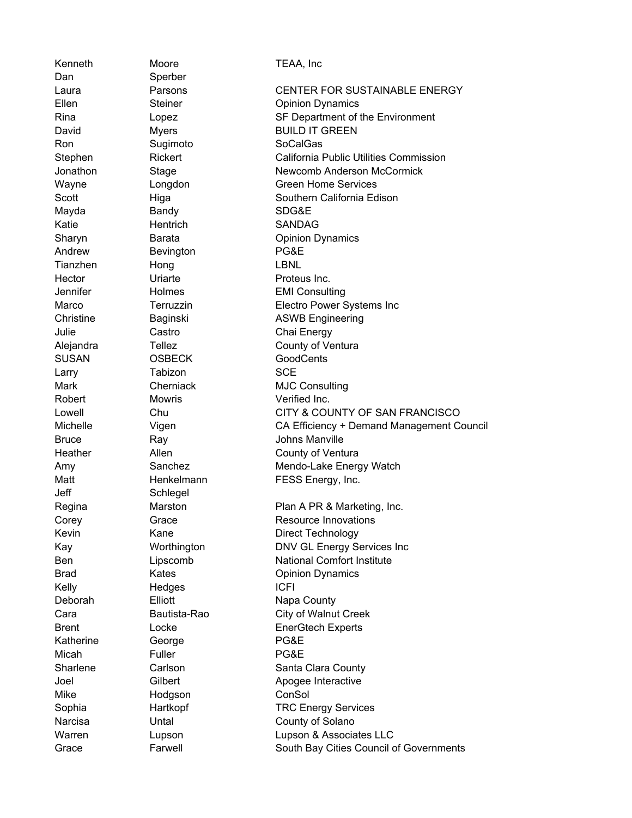Dan Sperber Jeff Schlegel

Kenneth Moore TEAA, Inc Ron Sugimoto SoCalGas Mayda Bandy Bandy SDG&E Katie Hentrich SANDAG Andrew **Bevington PG&E** Tianzhen Hong LBNL Hector **Contract Uriarte Proteus Inc.** Julie Castro Chai Energy SUSAN OSBECK GoodCents Larry **Tabizon** SCE Robert Mowris Morris Verified Inc. Kelly Hedges ICFI Deborah **Elliott** Elliott Napa County Katherine George **PG&E** Micah **Fuller** PG&E Mike Hodgson ConSol

Laura Parsons CENTER FOR SUSTAINABLE ENERGY Ellen Steiner Copinion Dynamics Rina Lopez SF Department of the Environment David Myers BUILD IT GREEN Stephen **Rickert** California Public Utilities Commission Jonathon Stage Stage Newcomb Anderson McCormick Wayne **Longdon** Creen Home Services Scott **Higa** Higa Southern California Edison Sharyn **Barata Barata** Opinion Dynamics Jennifer Holmes EMI Consulting Marco Terruzzin Electro Power Systems Inc Christine Baginski ASWB Engineering Alejandra Tellez County of Ventura Mark Cherniack MJC Consulting Lowell Chu CITY & COUNTY OF SAN FRANCISCO Michelle Vigen CA Efficiency + Demand Management Council Bruce Ray Ray Johns Manville Heather **Allen** Allen County of Ventura Amy Sanchez Mendo-Lake Energy Watch Matt Henkelmann FESS Energy, Inc. Regina Marston **Plan A PR & Marketing, Inc.** Corey **Grace** Grace Resource Innovations Kevin Kane **Communist Communist Communist Communist Communist Communist Communist Communist Communist Communist Communist Communist Communist Communist Communist Communist Communist Communist Communist Communist Communist** Kay **Worthington** DNV GL Energy Services Inc Ben Lipscomb National Comfort Institute Brad Kates **Communist Communist Communist Communist Communist Communist Communist Communist Communist Communist Communist Communist Communist Communist Communist Communist Communist Communist Communist Communist Communist** Cara Bautista-Rao City of Walnut Creek Brent Locke EnerGtech Experts Sharlene Carlson Carlson Santa Clara County Joel Gilbert Apogee Interactive Sophia **Hartkopf** TRC Energy Services Narcisa **Untal** Untal County of Solano Warren Lupson Lupson & Associates LLC Grace **Farwell** Farwell South Bay Cities Council of Governments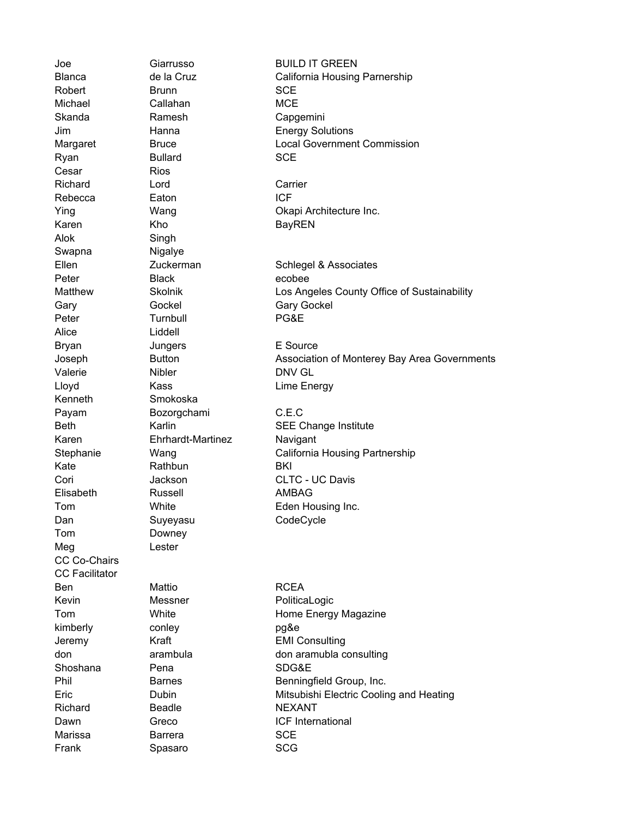Cesar Rios Alok Singh Swapna Nigalye Alice Liddell Kenneth Smokoska Tom Downey Meg Lester CC Co-Chairs CC Facilitator

Robert Brunn SCE Michael Callahan MCE Skanda Ramesh Capgemini Ryan Bullard SCE Richard Lord **Carrier** Rebecca **Eaton** ICF Karen Kho BayREN Peter Black ecobee Gary Gockel Gary Gockel Peter Turnbull PG&E Bryan Jungers E Source Valerie Nibler Nibler DNV GL Lloyd Kass Lime Energy Payam Bozorgchami C.E.C Karen Ehrhardt-Martinez Navigant Kate Rathbun BKI Elisabeth Russell AMBAG Dan Suyeyasu CodeCycle Ben Mattio Mattio RCEA Kevin Messner PoliticaLogic kimberly conley pg&e Shoshana Pena SDG&E Richard Beadle NEXANT Marissa Barrera SCE Frank Spasaro SCG

Joe Giarrusso BUILD IT GREEN Blanca de la Cruz California Housing Parnership Jim Hanna Energy Solutions Margaret Bruce Bruce Local Government Commission Ying Wang Okapi Architecture Inc. Ellen Zuckerman Schlegel & Associates Matthew Skolnik Los Angeles County Office of Sustainability Joseph Button Association of Monterey Bay Area Governments Beth Karlin **Karlin** SEE Change Institute Stephanie Mang California Housing Partnership Cori Jackson CLTC - UC Davis Tom White White Eden Housing Inc. Tom White White Home Energy Magazine Jeremy Kraft EMI Consulting don arambula don aramubla consulting Phil Barnes Barnes Benningfield Group, Inc. Eric Dubin Mitsubishi Electric Cooling and Heating Dawn Greco ICF International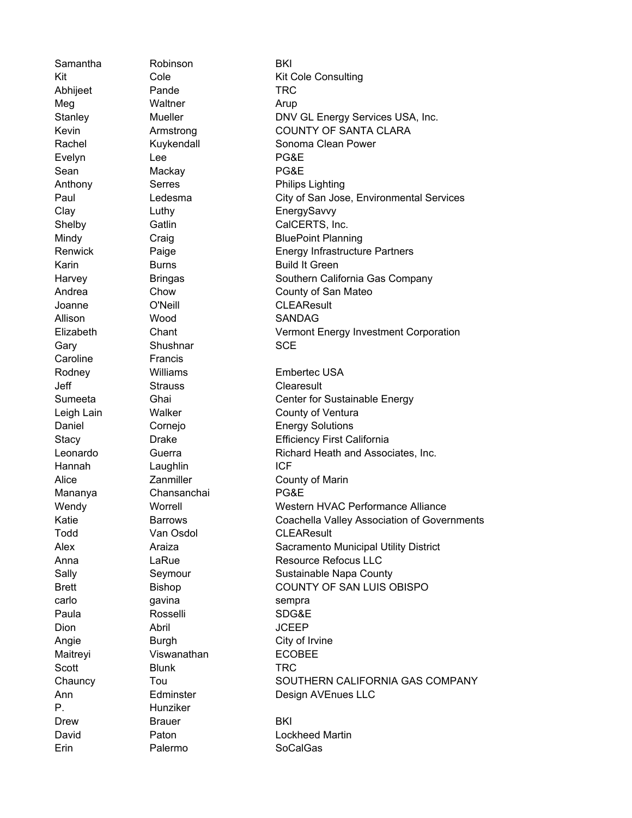Caroline Francis P. Hunziker

Samantha Robinson **BKI** Abhijeet Pande TRC Meg Waltner Arup Evelyn Lee PG&E Sean Mackay PG&E Joanne O'Neill CLEAResult Allison Wood SANDAG Gary Shushnar SCE Jeff Strauss Clearesult Hannah Laughlin ICF Mananya Chansanchai PG&E Todd Van Osdol CLEAResult carlo gavina qavama sempra Paula Rosselli SDG&E Dion Abril JCEEP Angie Burgh City of Irvine Maitreyi Viswanathan ECOBEE Scott **Blunk TRC** Drew Brauer BKI Erin Palermo SoCalGas

Kit Cole Cole Kit Cole Consulting Stanley **Mueller** DNV GL Energy Services USA, Inc. Kevin **Armstrong** COUNTY OF SANTA CLARA Rachel **Kuykendall** Sonoma Clean Power Anthony Serres **Philips Lighting** Paul Ledesma City of San Jose, Environmental Services Clay Luthy EnergySavvy Shelby Gatlin CalCERTS, Inc. Mindy Craig Craig BluePoint Planning Renwick Paige **Paige** Energy Infrastructure Partners Karin **Burns** Burns **Build It Green** Harvey **Bringas** Bringas Southern California Gas Company Andrea Chow Chow County of San Mateo Elizabeth Chant Vermont Energy Investment Corporation Rodney **Williams** Embertec USA Sumeeta Ghai Center for Sustainable Energy Leigh Lain Walker County of Ventura Daniel Cornejo **Energy Solutions** Stacy **Drake Drace Efficiency First California** Leonardo Guerra **Richard Heath and Associates**, Inc. Alice **Zanmiller** Zanmiller County of Marin Wendy Worrell Western HVAC Performance Alliance Katie **Barrows** Coachella Valley Association of Governments Alex Araiza Araiza Sacramento Municipal Utility District Anna LaRue LaRue Resource Refocus LLC Sally Seymour Sustainable Napa County Brett Bishop Bishop COUNTY OF SAN LUIS OBISPO Chauncy Tou SOUTHERN CALIFORNIA GAS COMPANY Ann **Edminster** Design AVEnues LLC David Paton Lockheed Martin